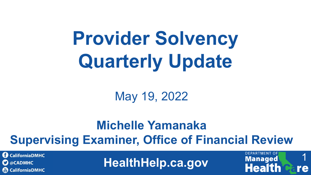# **Provider Solvency Quarterly Update**

May 19, 2022

#### **Michelle Yamanaka Supervising Examiner, Office of Financial Review**

**CaliforniaDMHC C** @CADMHC **(iii) CaliforniaDMHC** 

**HealthHelp.ca.gov**

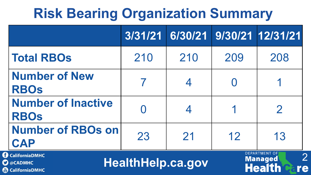#### **Risk Bearing Organization Summary**

|                                                                    | 3/31/21                  | 6/30/21 |     | 9/30/21 12/31/21                                                                |
|--------------------------------------------------------------------|--------------------------|---------|-----|---------------------------------------------------------------------------------|
| <b>Total RBOs</b>                                                  | 210                      | 210     | 209 | 208                                                                             |
| <b>Number of New</b><br><b>RBOS</b>                                |                          | 4       |     |                                                                                 |
| <b>Number of Inactive</b><br><b>RBOs</b>                           |                          |         |     | $\overline{2}$                                                                  |
| <b>Number of RBOs on</b><br><b>CAP</b>                             | 23                       | 21      | 12  | 13                                                                              |
| <b>CaliforniaDMHC</b><br><b>C</b> @CADMHC<br><b>CaliforniaDMHC</b> | <b>HealthHelp.ca.gov</b> |         |     | <b>DEPARTMENT OF</b><br>$\overline{2}$<br><b>Managed</b><br><b>Health</b><br>re |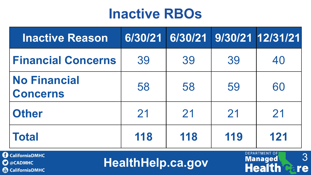#### **Inactive RBOs**

| <b>Inactive Reason</b>                 |     |     |     | 6/30/21 6/30/21 9/30/21 12/31/21 |
|----------------------------------------|-----|-----|-----|----------------------------------|
| <b>Financial Concerns</b>              | 39  | 39  | 39  | 40                               |
| <b>No Financial</b><br><b>Concerns</b> | 58  | 58  | 59  | 60                               |
| <b>Other</b>                           | 21  | 21  | 21  | 21                               |
| <b>Total</b>                           | 118 | 118 | 119 | 121                              |

**O** CaliforniaDMHC **O** @CADMHC CaliforniaDMHC

**HealthHelp.ca.gov**

3

re

**DEPARTMENT OF** 

Managed

**Health**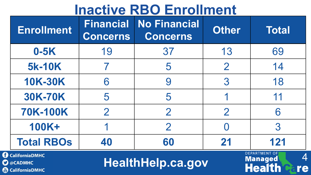#### **Inactive RBO Enrollment**

| <b>Enrollment</b>                         | <b>Financial</b><br><b>Concerns</b> | <b>No Financial</b><br><b>Concerns</b> | <b>Other</b>   | <b>Total</b>                           |
|-------------------------------------------|-------------------------------------|----------------------------------------|----------------|----------------------------------------|
| $0-5K$                                    | 19                                  | 37                                     | 13             | 69                                     |
| <b>5k-10K</b>                             |                                     | 5                                      | $\overline{2}$ | 14                                     |
| <b>10K-30K</b>                            | 6                                   | 9                                      | 3              | 18                                     |
| <b>30K-70K</b>                            | 5                                   | 5                                      |                | 11                                     |
| <b>70K-100K</b>                           | $\overline{2}$                      | $\overline{2}$                         | $\overline{2}$ | 6                                      |
| <b>100K+</b>                              |                                     | $\overline{2}$                         |                | 3                                      |
| <b>Total RBOs</b>                         | 40                                  | 60                                     | 21             | 121                                    |
| <b>CaliforniaDMHC</b><br>$\alpha$ CANALLC |                                     | Unalth Union Cont                      |                | <b>DEPARTMENT OF</b><br><b>Managed</b> |

CaliforniaDMHC **O** @CADMHC **&** CaliforniaDMHC

**HealthHelp.ca.gov**

**Health** 

re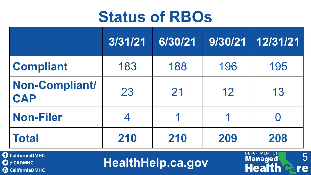#### **Status of RBOs**

|                                     | 3/31/21 | 6/30/21 | 9/30/21 | 12/31/21 |
|-------------------------------------|---------|---------|---------|----------|
| <b>Compliant</b>                    | 183     | 188     | 196     | 195      |
| <b>Non-Compliant/</b><br><b>CAP</b> | 23      | 21      | 12      | 13       |
| <b>Non-Filer</b>                    | 4       |         |         |          |
| <b>Total</b>                        | 210     | 210     | 209     | 208      |

**C** CaliforniaDMHC **O** @CADMHC **&** CaliforniaDMHC **HealthHelp.ca.gov Health & re**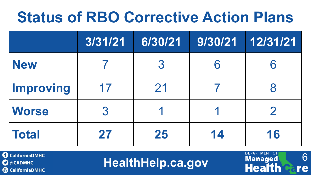### **Status of RBO Corrective Action Plans**

|                  | 3/31/21 | 6/30/21 | 9/30/21 | 12/31/21      |
|------------------|---------|---------|---------|---------------|
| <b>New</b>       |         | 3       |         |               |
| <b>Improving</b> | 17      | 21      |         |               |
| <b>Worse</b>     | 3       |         |         | $\mathcal{P}$ |
| <b>Total</b>     | 27      | 25      | 14      | 16            |

**CaliforniaDMHC C** @CADMHC **CaliforniaDMHC**  **HealthHelp.ca.gov** Managed 6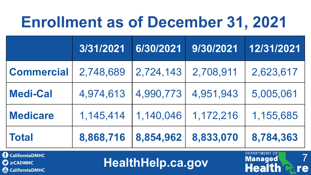# **Enrollment as of December 31, 2021**

|                   | 3/31/2021 | 6/30/2021 | 9/30/2021 | 12/31/2021 |
|-------------------|-----------|-----------|-----------|------------|
| <b>Commercial</b> | 2,748,689 | 2,724,143 | 2,708,911 | 2,623,617  |
| <b>Medi-Cal</b>   | 4,974,613 | 4,990,773 | 4,951,943 | 5,005,061  |
| <b>Medicare</b>   | 1,145,414 | 1,140,046 | 1,172,216 | 1,155,685  |
| <b>Total</b>      | 8,868,716 | 8,854,962 | 8,833,070 | 8,784,363  |

**O** CaliforniaDMHC **C** @CADMHC **CaliforniaDMHC** 

**HealthHelp.ca.gov**

7

re

**DEPARTMENT OF** 

**Managed** 

**Health**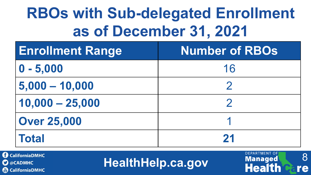# **RBOs with Sub-delegated Enrollment as of December 31, 2021**

| <b>Enrollment Range</b> | <b>Number of RBOs</b> |
|-------------------------|-----------------------|
| $ 0 - 5,000$            | 16                    |
| $5,000 - 10,000$        |                       |
| $10,000 - 25,000$       |                       |
| <b>Over 25,000</b>      |                       |
| <b>Total</b>            | 21                    |

**CaliforniaDMHC**  $\mathbf{\Omega}$  @CADMHC **CaliforniaDMHC** 

**HealthHelp.ca.gov**

8

re

**DEPARTMENT OF** 

**Managed** 

**Health**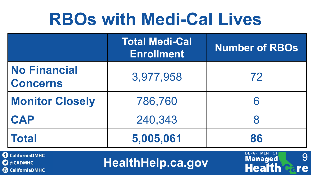# **RBOs with Medi-Cal Lives**

|                                            | <b>Total Medi-Cal</b><br><b>Enrollment</b> | <b>Number of RBOs</b>                       |
|--------------------------------------------|--------------------------------------------|---------------------------------------------|
| <b>No Financial</b><br><b>Concerns</b>     | 3,977,958                                  | 72                                          |
| <b>Monitor Closely</b>                     | 786,760                                    | 6                                           |
| <b>CAP</b>                                 | 240,343                                    |                                             |
| <b>Total</b>                               | 5,005,061                                  | 86                                          |
| <b>CaliforniaDMHC</b><br>$\alpha$ cannalla | Unalth Unin an NAV                         | <b>DEPARTMENT OF</b><br>9<br><b>Managed</b> |

CaliforniaDMHC **D** @CADMHC CaliforniaDMHC

**HealthHelp.ca.gov**

**Health** 

re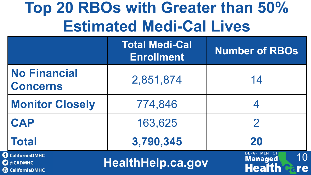# **Top 20 RBOs with Greater than 50% Estimated Medi-Cal Lives**

|                                                           | <b>Total Medi-Cal</b><br><b>Enrollment</b> | <b>Number of RBOs</b>                                               |
|-----------------------------------------------------------|--------------------------------------------|---------------------------------------------------------------------|
| <b>No Financial</b><br><b>Concerns</b>                    | 2,851,874                                  | 14                                                                  |
| <b>Monitor Closely</b>                                    | 774,846                                    |                                                                     |
| <b>CAP</b>                                                | 163,625                                    | $\overline{2}$                                                      |
| <b>Total</b>                                              | 3,790,345                                  | 20                                                                  |
| <b>CaliforniaDMHC</b><br>@CADMHC<br><b>CaliforniaDMHC</b> | <b>HealthHelp.ca.gov</b>                   | <b>DEPARTMENT OF</b><br>10<br><b>Managed</b><br><b>Health</b><br>re |